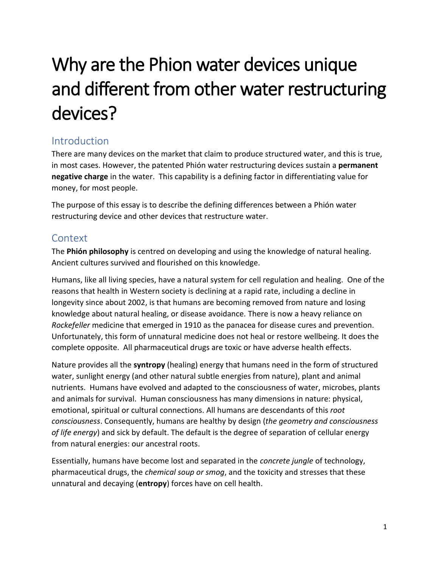# Why are the Phion water devices unique and different from other water restructuring devices?

## Introduction

There are many devices on the market that claim to produce structured water, and this is true, in most cases. However, the patented Phión water restructuring devices sustain a **permanent negative charge** in the water. This capability is a defining factor in differentiating value for money, for most people.

The purpose of this essay is to describe the defining differences between a Phión water restructuring device and other devices that restructure water.

#### Context

The **Phión philosophy** is centred on developing and using the knowledge of natural healing. Ancient cultures survived and flourished on this knowledge.

Humans, like all living species, have a natural system for cell regulation and healing. One of the reasons that health in Western society is declining at a rapid rate, including a decline in longevity since about 2002, is that humans are becoming removed from nature and losing knowledge about natural healing, or disease avoidance. There is now a heavy reliance on *Rockefeller* medicine that emerged in 1910 as the panacea for disease cures and prevention. Unfortunately, this form of unnatural medicine does not heal or restore wellbeing. It does the complete opposite. All pharmaceutical drugs are toxic or have adverse health effects.

Nature provides all the **syntropy** (healing) energy that humans need in the form of structured water, sunlight energy (and other natural subtle energies from nature), plant and animal nutrients. Humans have evolved and adapted to the consciousness of water, microbes, plants and animals for survival. Human consciousness has many dimensions in nature: physical, emotional, spiritual or cultural connections. All humans are descendants of this *root consciousness*. Consequently, humans are healthy by design (*the geometry and consciousness of life energy*) and sick by default. The default is the degree of separation of cellular energy from natural energies: our ancestral roots.

Essentially, humans have become lost and separated in the *concrete jungle* of technology, pharmaceutical drugs, the *chemical soup or smog*, and the toxicity and stresses that these unnatural and decaying (**entropy**) forces have on cell health.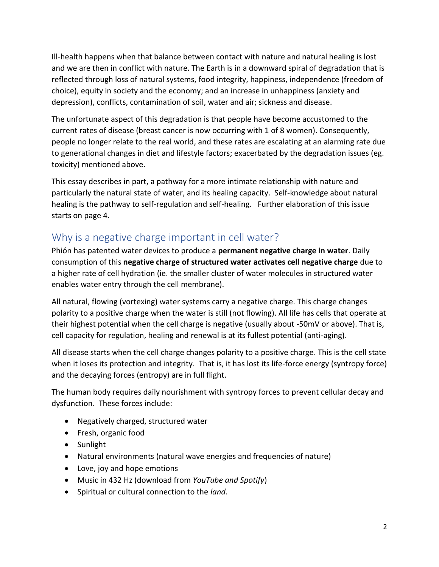Ill-health happens when that balance between contact with nature and natural healing is lost and we are then in conflict with nature. The Earth is in a downward spiral of degradation that is reflected through loss of natural systems, food integrity, happiness, independence (freedom of choice), equity in society and the economy; and an increase in unhappiness (anxiety and depression), conflicts, contamination of soil, water and air; sickness and disease.

The unfortunate aspect of this degradation is that people have become accustomed to the current rates of disease (breast cancer is now occurring with 1 of 8 women). Consequently, people no longer relate to the real world, and these rates are escalating at an alarming rate due to generational changes in diet and lifestyle factors; exacerbated by the degradation issues (eg. toxicity) mentioned above.

This essay describes in part, a pathway for a more intimate relationship with nature and particularly the natural state of water, and its healing capacity. Self-knowledge about natural healing is the pathway to self-regulation and self-healing. Further elaboration of this issue starts on page 4.

### Why is a negative charge important in cell water?

Phión has patented water devices to produce a **permanent negative charge in water**. Daily consumption of this **negative charge of structured water activates cell negative charge** due to a higher rate of cell hydration (ie. the smaller cluster of water molecules in structured water enables water entry through the cell membrane).

All natural, flowing (vortexing) water systems carry a negative charge. This charge changes polarity to a positive charge when the water is still (not flowing). All life has cells that operate at their highest potential when the cell charge is negative (usually about -50mV or above). That is, cell capacity for regulation, healing and renewal is at its fullest potential (anti-aging).

All disease starts when the cell charge changes polarity to a positive charge. This is the cell state when it loses its protection and integrity. That is, it has lost its life-force energy (syntropy force) and the decaying forces (entropy) are in full flight.

The human body requires daily nourishment with syntropy forces to prevent cellular decay and dysfunction. These forces include:

- Negatively charged, structured water
- Fresh, organic food
- Sunlight
- Natural environments (natural wave energies and frequencies of nature)
- Love, joy and hope emotions
- Music in 432 Hz (download from *YouTube and Spotify*)
- Spiritual or cultural connection to the *land.*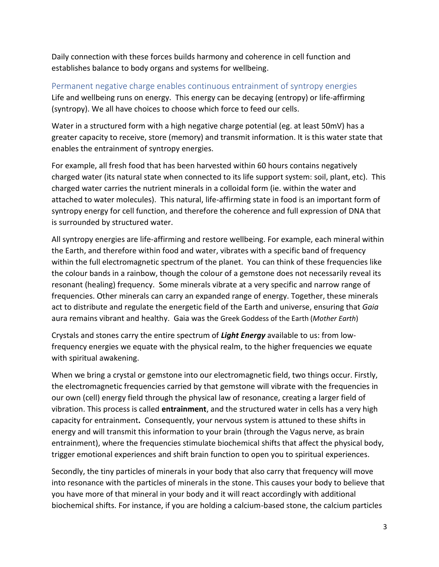Daily connection with these forces builds harmony and coherence in cell function and establishes balance to body organs and systems for wellbeing.

Permanent negative charge enables continuous entrainment of syntropy energies Life and wellbeing runs on energy. This energy can be decaying (entropy) or life-affirming (syntropy). We all have choices to choose which force to feed our cells.

Water in a structured form with a high negative charge potential (eg. at least 50mV) has a greater capacity to receive, store (memory) and transmit information. It is this water state that enables the entrainment of syntropy energies.

For example, all fresh food that has been harvested within 60 hours contains negatively charged water (its natural state when connected to its life support system: soil, plant, etc). This charged water carries the nutrient minerals in a colloidal form (ie. within the water and attached to water molecules). This natural, life-affirming state in food is an important form of syntropy energy for cell function, and therefore the coherence and full expression of DNA that is surrounded by structured water.

All syntropy energies are life-affirming and restore wellbeing. For example, each mineral within the Earth, and therefore within food and water, vibrates with a specific band of frequency within the full electromagnetic spectrum of the planet. You can think of these frequencies like the colour bands in a rainbow, though the colour of a gemstone does not necessarily reveal its resonant (healing) frequency. Some minerals vibrate at a very specific and narrow range of frequencies. Other minerals can carry an expanded range of energy. Together, these minerals act to distribute and regulate the energetic field of the Earth and universe, ensuring that *Gaia* aura remains vibrant and healthy. Gaia was the Greek Goddess of the Earth (*Mother Earth*)

Crystals and stones carry the entire spectrum of *Light Energy* available to us: from lowfrequency energies we equate with the physical realm, to the higher frequencies we equate with spiritual awakening.

When we bring a crystal or gemstone into our electromagnetic field, two things occur. Firstly, the electromagnetic frequencies carried by that gemstone will vibrate with the frequencies in our own (cell) energy field through the physical law of resonance, creating a larger field of vibration. This process is called **entrainment**, and the structured water in cells has a very high capacity for entrainment**.** Consequently, your nervous system is attuned to these shifts in energy and will transmit this information to your brain (through the Vagus nerve, as brain entrainment), where the frequencies stimulate biochemical shifts that affect the physical body, trigger emotional experiences and shift brain function to open you to spiritual experiences.

Secondly, the tiny particles of minerals in your body that also carry that frequency will move into resonance with the particles of minerals in the stone. This causes your body to believe that you have more of that mineral in your body and it will react accordingly with additional biochemical shifts. For instance, if you are holding a calcium-based stone, the calcium particles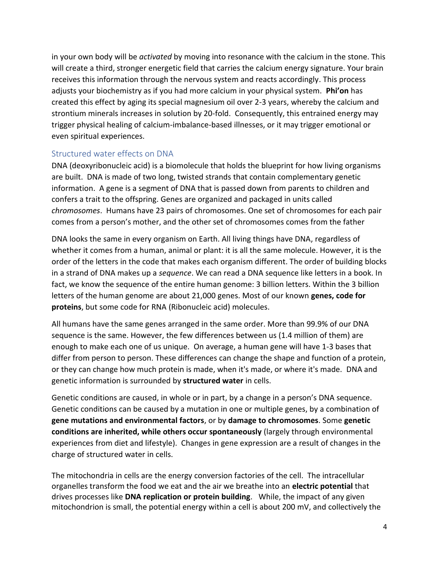in your own body will be *activated* by moving into resonance with the calcium in the stone. This will create a third, stronger energetic field that carries the calcium energy signature. Your brain receives this information through the nervous system and reacts accordingly. This process adjusts your biochemistry as if you had more calcium in your physical system. **Phi'on** has created this effect by aging its special magnesium oil over 2-3 years, whereby the calcium and strontium minerals increases in solution by 20-fold. Consequently, this entrained energy may trigger physical healing of calcium-imbalance-based illnesses, or it may trigger emotional or even spiritual experiences.

#### Structured water effects on DNA

DNA (deoxyribonucleic acid) is a biomolecule that holds the blueprint for how living organisms are built. DNA is made of two long, twisted strands that contain complementary genetic information. A gene is a segment of DNA that is passed down from parents to children and confers a trait to the offspring. Genes are organized and packaged in units called *chromosomes*. Humans have 23 pairs of chromosomes. One set of chromosomes for each pair comes from a person's mother, and the other set of chromosomes comes from the father

DNA looks the same in every organism on Earth. All living things have DNA, regardless of whether it comes from a human, animal or plant: it is all the same molecule. However, it is the order of the letters in the code that makes each organism different. The order of building blocks in a strand of DNA makes up a *sequence*. We can read a DNA sequence like letters in a book. In fact, we know the sequence of the entire human genome: 3 billion letters. Within the 3 billion letters of the human genome are about 21,000 genes. Most of our known **genes, code for proteins**, but some code for RNA (Ribonucleic acid) molecules.

All humans have the same genes arranged in the same order. More than 99.9% of our DNA sequence is the same. However, the few differences between us (1.4 million of them) are enough to make each one of us unique. On average, a human gene will have 1-3 bases that differ from person to person. These differences can change the shape and function of a protein, or they can change how much protein is made, when it's made, or where it's made. DNA and genetic information is surrounded by **structured water** in cells.

Genetic conditions are caused, in whole or in part, by a change in a person's DNA sequence. Genetic conditions can be caused by a mutation in one or multiple genes, by a combination of **gene mutations and environmental factors**, or by **damage to chromosomes**. Some **genetic conditions are inherited, while others occur spontaneously** (largely through environmental experiences from diet and lifestyle). Changes in gene expression are a result of changes in the charge of structured water in cells.

The mitochondria in cells are the energy conversion factories of the cell. The intracellular organelles transform the food we eat and the air we breathe into an **electric potential** that drives processes like **DNA replication or protein building**. While, the impact of any given mitochondrion is small, the potential energy within a cell is about 200 mV, and collectively the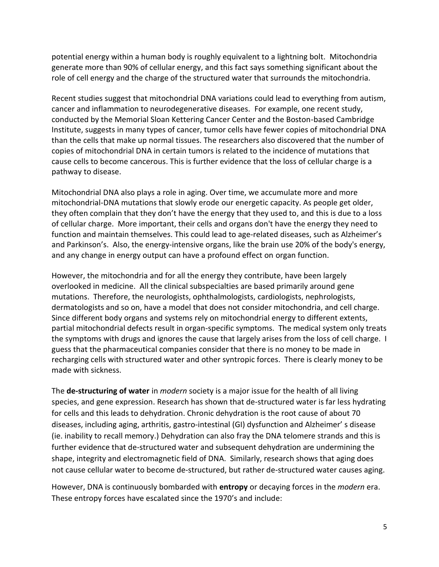potential energy within a human body is roughly equivalent to a lightning bolt. Mitochondria generate more than 90% of cellular energy, and this fact says something significant about the role of cell energy and the charge of the structured water that surrounds the mitochondria.

Recent studies suggest that mitochondrial DNA variations could lead to everything from autism, cancer and inflammation to neurodegenerative diseases. For example, one recent study, conducted by the Memorial Sloan Kettering Cancer Center and the Boston-based Cambridge Institute, suggests in many types of cancer, tumor cells have fewer copies of mitochondrial DNA than the cells that make up normal tissues. The researchers also discovered that the number of copies of mitochondrial DNA in certain tumors is related to the incidence of mutations that cause cells to become cancerous. This is further evidence that the loss of cellular charge is a pathway to disease.

Mitochondrial DNA also plays a role in aging. Over time, we accumulate more and more mitochondrial-DNA mutations that slowly erode our energetic capacity. As people get older, they often complain that they don't have the energy that they used to, and this is due to a loss of cellular charge. More important, their cells and organs don't have the energy they need to function and maintain themselves. This could lead to age-related diseases, such as Alzheimer's and Parkinson's. Also, the energy-intensive organs, like the brain use 20% of the body's energy, and any change in energy output can have a profound effect on organ function.

However, the mitochondria and for all the energy they contribute, have been largely overlooked in medicine. All the clinical subspecialties are based primarily around gene mutations. Therefore, the neurologists, ophthalmologists, cardiologists, nephrologists, dermatologists and so on, have a model that does not consider mitochondria, and cell charge. Since different body organs and systems rely on mitochondrial energy to different extents, partial mitochondrial defects result in organ-specific symptoms. The medical system only treats the symptoms with drugs and ignores the cause that largely arises from the loss of cell charge. I guess that the pharmaceutical companies consider that there is no money to be made in recharging cells with structured water and other syntropic forces. There is clearly money to be made with sickness.

The **de-structuring of water** in *modern* society is a major issue for the health of all living species, and gene expression. Research has shown that de-structured water is far less hydrating for cells and this leads to dehydration. Chronic dehydration is the root cause of about 70 diseases, including aging, arthritis, gastro-intestinal (GI) dysfunction and Alzheimer' s disease (ie. inability to recall memory.) Dehydration can also fray the DNA telomere strands and this is further evidence that de-structured water and subsequent dehydration are undermining the shape, integrity and electromagnetic field of DNA. Similarly, research shows that aging does not cause cellular water to become de-structured, but rather de-structured water causes aging.

However, DNA is continuously bombarded with **entropy** or decaying forces in the *modern* era. These entropy forces have escalated since the 1970's and include: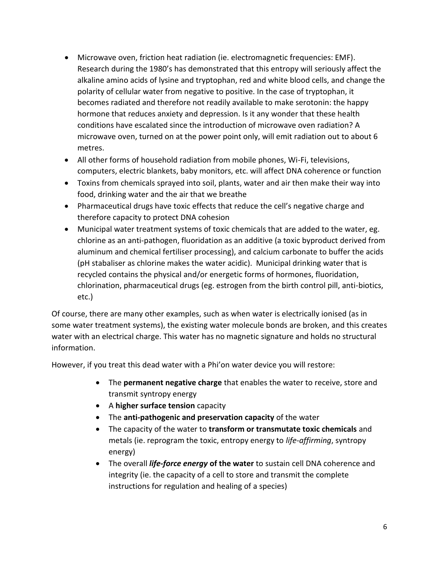- Microwave oven, friction heat radiation (ie. electromagnetic frequencies: EMF). Research during the 1980's has demonstrated that this entropy will seriously affect the alkaline amino acids of lysine and tryptophan, red and white blood cells, and change the polarity of cellular water from negative to positive. In the case of tryptophan, it becomes radiated and therefore not readily available to make serotonin: the happy hormone that reduces anxiety and depression. Is it any wonder that these health conditions have escalated since the introduction of microwave oven radiation? A microwave oven, turned on at the power point only, will emit radiation out to about 6 metres.
- All other forms of household radiation from mobile phones, Wi-Fi, televisions, computers, electric blankets, baby monitors, etc. will affect DNA coherence or function
- Toxins from chemicals sprayed into soil, plants, water and air then make their way into food, drinking water and the air that we breathe
- Pharmaceutical drugs have toxic effects that reduce the cell's negative charge and therefore capacity to protect DNA cohesion
- Municipal water treatment systems of toxic chemicals that are added to the water, eg. chlorine as an anti-pathogen, fluoridation as an additive (a toxic byproduct derived from aluminum and chemical fertiliser processing), and calcium carbonate to buffer the acids (pH stabaliser as chlorine makes the water acidic). Municipal drinking water that is recycled contains the physical and/or energetic forms of hormones, fluoridation, chlorination, pharmaceutical drugs (eg. estrogen from the birth control pill, anti-biotics, etc.)

Of course, there are many other examples, such as when water is electrically ionised (as in some water treatment systems), the existing water molecule bonds are broken, and this creates water with an electrical charge. This water has no magnetic signature and holds no structural information.

However, if you treat this dead water with a Phi'on water device you will restore:

- The **permanent negative charge** that enables the water to receive, store and transmit syntropy energy
- A **higher surface tension** capacity
- The **anti-pathogenic and preservation capacity** of the water
- The capacity of the water to **transform or transmutate toxic chemicals** and metals (ie. reprogram the toxic, entropy energy to *life-affirming*, syntropy energy)
- The overall *life-force energy* **of the water** to sustain cell DNA coherence and integrity (ie. the capacity of a cell to store and transmit the complete instructions for regulation and healing of a species)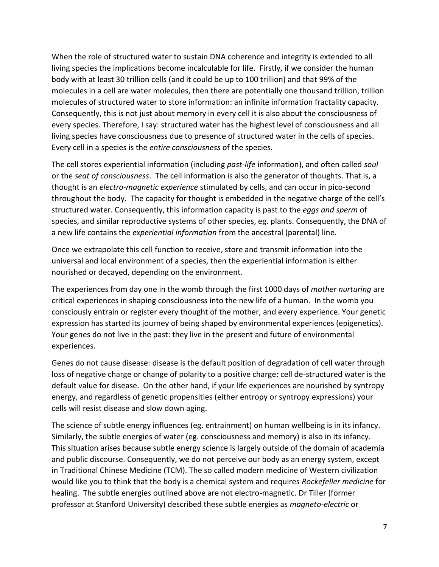When the role of structured water to sustain DNA coherence and integrity is extended to all living species the implications become incalculable for life. Firstly, if we consider the human body with at least 30 trillion cells (and it could be up to 100 trillion) and that 99% of the molecules in a cell are water molecules, then there are potentially one thousand trillion, trillion molecules of structured water to store information: an infinite information fractality capacity. Consequently, this is not just about memory in every cell it is also about the consciousness of every species. Therefore, I say: structured water has the highest level of consciousness and all living species have consciousness due to presence of structured water in the cells of species. Every cell in a species is the *entire consciousness* of the species.

The cell stores experiential information (including *past-life* information), and often called *soul*  or the *seat of consciousness*. The cell information is also the generator of thoughts. That is, a thought is an *electro-magnetic experience* stimulated by cells, and can occur in pico-second throughout the body. The capacity for thought is embedded in the negative charge of the cell's structured water. Consequently, this information capacity is past to the *eggs and sperm* of species, and similar reproductive systems of other species, eg. plants. Consequently, the DNA of a new life contains the *experiential information* from the ancestral (parental) line.

Once we extrapolate this cell function to receive, store and transmit information into the universal and local environment of a species, then the experiential information is either nourished or decayed, depending on the environment.

The experiences from day one in the womb through the first 1000 days of *mother nurturing* are critical experiences in shaping consciousness into the new life of a human. In the womb you consciously entrain or register every thought of the mother, and every experience. Your genetic expression has started its journey of being shaped by environmental experiences (epigenetics). Your genes do not live in the past: they live in the present and future of environmental experiences.

Genes do not cause disease: disease is the default position of degradation of cell water through loss of negative charge or change of polarity to a positive charge: cell de-structured water is the default value for disease. On the other hand, if your life experiences are nourished by syntropy energy, and regardless of genetic propensities (either entropy or syntropy expressions) your cells will resist disease and slow down aging.

The science of subtle energy influences (eg. entrainment) on human wellbeing is in its infancy. Similarly, the subtle energies of water (eg. consciousness and memory) is also in its infancy. This situation arises because subtle energy science is largely outside of the domain of academia and public discourse. Consequently, we do not perceive our body as an energy system, except in Traditional Chinese Medicine (TCM). The so called modern medicine of Western civilization would like you to think that the body is a chemical system and requires *Rockefeller medicine* for healing. The subtle energies outlined above are not electro-magnetic. Dr Tiller (former professor at Stanford University) described these subtle energies as *magneto-electric* or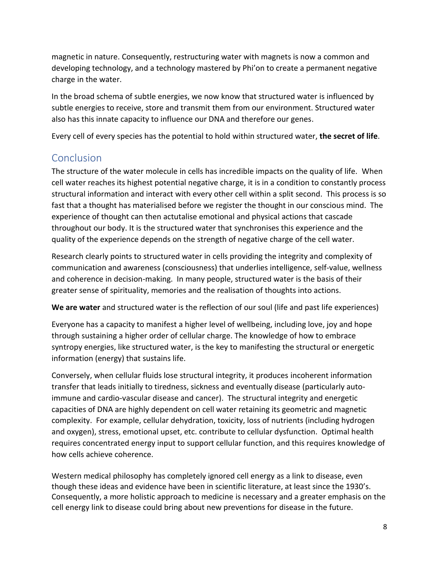magnetic in nature. Consequently, restructuring water with magnets is now a common and developing technology, and a technology mastered by Phi'on to create a permanent negative charge in the water.

In the broad schema of subtle energies, we now know that structured water is influenced by subtle energies to receive, store and transmit them from our environment. Structured water also has this innate capacity to influence our DNA and therefore our genes.

Every cell of every species has the potential to hold within structured water, **the secret of life**.

### **Conclusion**

The structure of the water molecule in cells has incredible impacts on the quality of life. When cell water reaches its highest potential negative charge, it is in a condition to constantly process structural information and interact with every other cell within a split second. This process is so fast that a thought has materialised before we register the thought in our conscious mind. The experience of thought can then actutalise emotional and physical actions that cascade throughout our body. It is the structured water that synchronises this experience and the quality of the experience depends on the strength of negative charge of the cell water.

Research clearly points to structured water in cells providing the integrity and complexity of communication and awareness (consciousness) that underlies intelligence, self-value, wellness and coherence in decision-making. In many people, structured water is the basis of their greater sense of spirituality, memories and the realisation of thoughts into actions.

**We are water** and structured water is the reflection of our soul (life and past life experiences)

Everyone has a capacity to manifest a higher level of wellbeing, including love, joy and hope through sustaining a higher order of cellular charge. The knowledge of how to embrace syntropy energies, like structured water, is the key to manifesting the structural or energetic information (energy) that sustains life.

Conversely, when cellular fluids lose structural integrity, it produces incoherent information transfer that leads initially to tiredness, sickness and eventually disease (particularly autoimmune and cardio-vascular disease and cancer). The structural integrity and energetic capacities of DNA are highly dependent on cell water retaining its geometric and magnetic complexity. For example, cellular dehydration, toxicity, loss of nutrients (including hydrogen and oxygen), stress, emotional upset, etc. contribute to cellular dysfunction. Optimal health requires concentrated energy input to support cellular function, and this requires knowledge of how cells achieve coherence.

Western medical philosophy has completely ignored cell energy as a link to disease, even though these ideas and evidence have been in scientific literature, at least since the 1930's. Consequently, a more holistic approach to medicine is necessary and a greater emphasis on the cell energy link to disease could bring about new preventions for disease in the future.